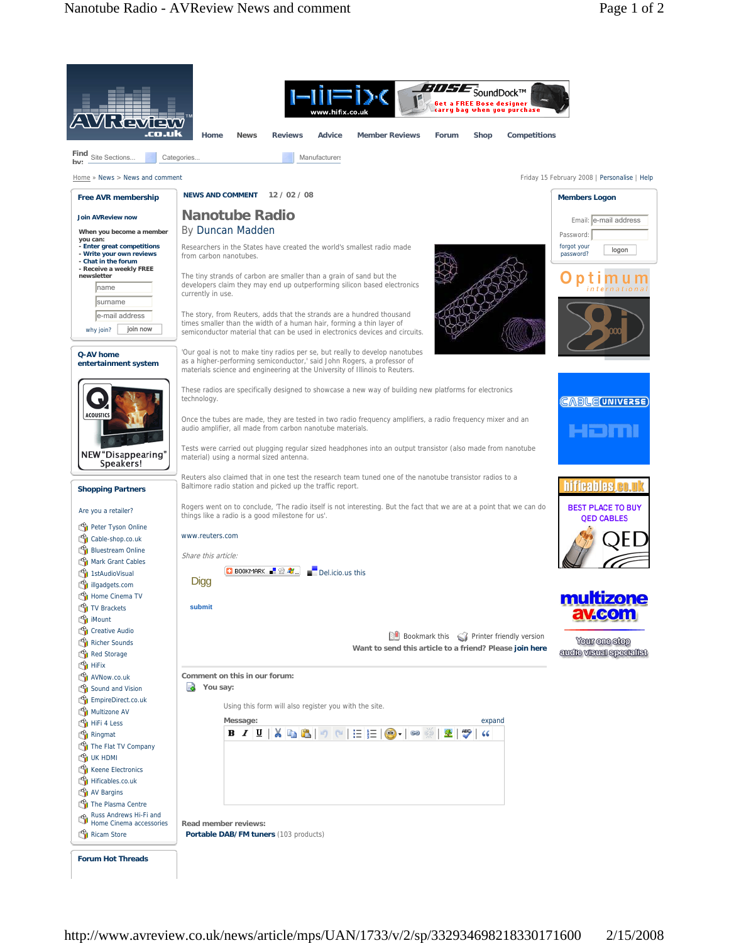